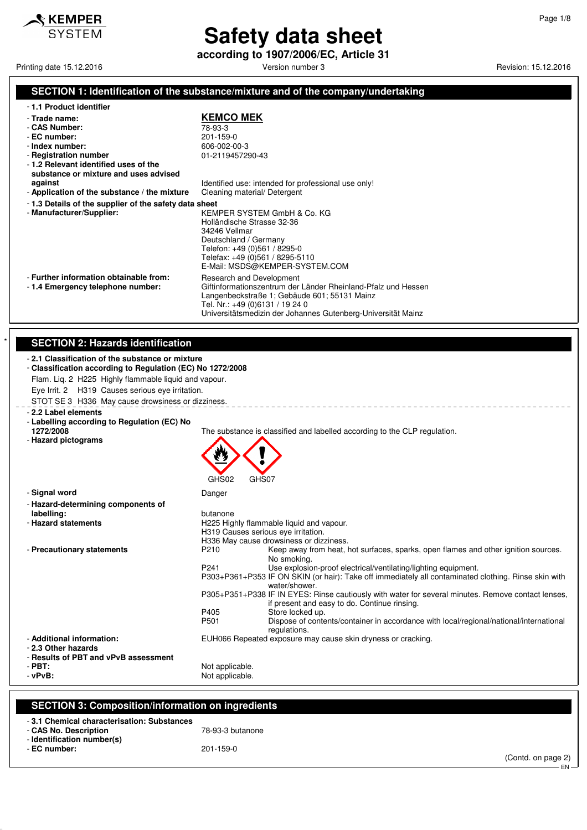

# **Safety data sheet**

**according to 1907/2006/EC, Article 31**

Printing date 15.12.2016 **Principal and Contract Contract Contract Contract Contract Contract Contract Contract Contract Contract Contract Contract Contract Contract Contract Contract Contract Contract Contract Contract Co** 

### **SECTION 1: Identification of the substance/mixture and of the company/undertaking**

|  |  |  |  | - 1.1 Product identifier |
|--|--|--|--|--------------------------|
|--|--|--|--|--------------------------|

### - **Trade name: KEMCO MEK**

- **CAS Number:** 78-93-3 - **EC number:** 201-159-0

| - CAS Number: |
|---------------|
| - EC number:  |
| Indov numbor  |

#### **Provide and Englishment Concrete Section 1.1945/290-43**<br>Registration number and the concrete of 1-2119457290-43 - **Registration number**

- **1.2 Relevant identified uses of the**
- **substance or mixture and uses advised**
- **Application of the substance / the mixture** Cleaning material/ Detergent
- **1.3 Details of the supplier of the safety data sheet**
- Manufacturer/Supplie

Identified use: intended for professional use only!

| <b>1.0 Details Of the supplier of the safety data sheet</b>                |                                                                                                                                                                                                                                              |
|----------------------------------------------------------------------------|----------------------------------------------------------------------------------------------------------------------------------------------------------------------------------------------------------------------------------------------|
| - Manufacturer/Supplier:                                                   | KEMPER SYSTEM GmbH & Co. KG<br>Holländische Strasse 32-36<br>34246 Vellmar<br>Deutschland / Germany<br>Telefon: +49 (0)561 / 8295-0<br>Telefax: +49 (0)561 / 8295-5110<br>E-Mail: MSDS@KEMPER-SYSTEM.COM                                     |
| - Further information obtainable from:<br>-1.4 Emergency telephone number: | Research and Development<br>Giftinformationszentrum der Länder Rheinland-Pfalz und Hessen<br>Langenbeckstraße 1; Gebäude 601; 55131 Mainz<br>Tel. Nr.: +49 (0)6131 / 19 24 0<br>Universitätsmedizin der Johannes Gutenberg-Universität Mainz |

### **SECTION 2: Hazards identification**

| -2.1 Classification of the substance or mixture |  |
|-------------------------------------------------|--|

#### - **Classification according to Regulation (EC) No 1272/2008** Flam. Liq. 2 H225 Highly flammable liquid and vapour.

Eye Irrit. 2 H319 Causes serious eye irritation.

STOT SE 3 H336 May cause drowsiness or dizziness.

- **Signal word** Danger

### - **2.2 Label elements**

- **Labelling according to Regulation (EC) No**
- **Hazard pictograms**



| - Hazard-determining components of               |                       |                                                                                                                                                    |
|--------------------------------------------------|-----------------------|----------------------------------------------------------------------------------------------------------------------------------------------------|
| labelling:                                       | butanone              |                                                                                                                                                    |
| - Hazard statements                              |                       | H225 Highly flammable liquid and vapour.                                                                                                           |
|                                                  |                       | H319 Causes serious eye irritation.                                                                                                                |
|                                                  |                       | H336 May cause drowsiness or dizziness.                                                                                                            |
| - Precautionary statements                       | P210                  | Keep away from heat, hot surfaces, sparks, open flames and other ignition sources.<br>No smoking.                                                  |
|                                                  | P <sub>241</sub>      | Use explosion-proof electrical/ventilating/lighting equipment.                                                                                     |
|                                                  |                       | P303+P361+P353 IF ON SKIN (or hair): Take off immediately all contaminated clothing. Rinse skin with<br>water/shower.                              |
|                                                  |                       | P305+P351+P338 IF IN EYES: Rinse cautiously with water for several minutes. Remove contact lenses.<br>if present and easy to do. Continue rinsing. |
|                                                  | P405                  | Store locked up.                                                                                                                                   |
|                                                  | P <sub>501</sub>      | Dispose of contents/container in accordance with local/regional/national/international<br>regulations.                                             |
| - Additional information:<br>- 2.3 Other hazards |                       | EUH066 Repeated exposure may cause skin dryness or cracking.                                                                                       |
| - Results of PBT and vPvB assessment             |                       |                                                                                                                                                    |
| $-$ PBT:                                         | Not applicable.       |                                                                                                                                                    |
| $$ n. $n$ .                                      | Martin and Parallella |                                                                                                                                                    |

The substance is classified and labelled according to the CLP regulation.

- 
- **vPvB:**  $\blacksquare$

### **SECTION 3: Composition/information on ingredients**

| -3.1 Chemical characterisation: Substances |                  |
|--------------------------------------------|------------------|
| - CAS No. Description                      | 78-93-3 butanone |
| - Identification number(s)                 |                  |
| - EC number:                               | 201-159-0        |
|                                            |                  |

(Contd. on page 2)

EN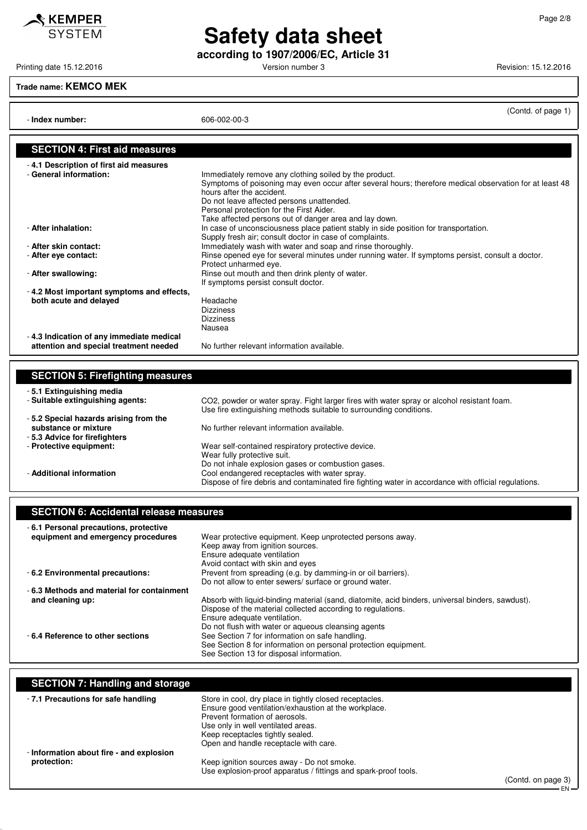**Safety data sheet according to 1907/2006/EC, Article 31**

Printing date 15.12.2016 **Principal and American Control Control** Version number 3 Revision: 15.12.2016

**Trade name: KEMCO MEK**

- **Index number:** 606-002-00-3

(Contd. of page 1)

| <b>SECTION 4: First aid measures</b>      |                                                                                                                                                |
|-------------------------------------------|------------------------------------------------------------------------------------------------------------------------------------------------|
| -4.1 Description of first aid measures    |                                                                                                                                                |
| - General information:                    | Immediately remove any clothing soiled by the product.                                                                                         |
|                                           | Symptoms of poisoning may even occur after several hours; therefore medical observation for at least 48                                        |
|                                           | hours after the accident.                                                                                                                      |
|                                           | Do not leave affected persons unattended.                                                                                                      |
|                                           | Personal protection for the First Aider.                                                                                                       |
| - After inhalation:                       | Take affected persons out of danger area and lay down.<br>In case of unconsciousness place patient stably in side position for transportation. |
|                                           | Supply fresh air; consult doctor in case of complaints.                                                                                        |
| - After skin contact:                     | Immediately wash with water and soap and rinse thoroughly.                                                                                     |
| - After eye contact:                      | Rinse opened eye for several minutes under running water. If symptoms persist, consult a doctor.                                               |
|                                           | Protect unharmed eye.                                                                                                                          |
| - After swallowing:                       | Rinse out mouth and then drink plenty of water.                                                                                                |
|                                           | If symptoms persist consult doctor.                                                                                                            |
| -4.2 Most important symptoms and effects, |                                                                                                                                                |
| both acute and delayed                    | Headache                                                                                                                                       |
|                                           | <b>Dizziness</b>                                                                                                                               |
|                                           | <b>Dizziness</b>                                                                                                                               |
|                                           | Nausea                                                                                                                                         |
| -4.3 Indication of any immediate medical  |                                                                                                                                                |
| attention and special treatment needed    | No further relevant information available.                                                                                                     |
|                                           |                                                                                                                                                |
|                                           |                                                                                                                                                |
| <b>SECTION 5: Firefighting measures</b>   |                                                                                                                                                |
| -5.1 Extinguishing media                  |                                                                                                                                                |
| - Suitable extinguishing agents:          | CO2, powder or water spray. Fight larger fires with water spray or alcohol resistant foam.                                                     |
|                                           | Use fire extinguishing methods suitable to surrounding conditions.                                                                             |
| -5.2 Special hazards arising from the     |                                                                                                                                                |

substance or mixture **No further relevant information available.** - **5.3 Advice for firefighters** Wear self-contained respiratory protective device. Wear fully protective suit. Do not inhale explosion gases or combustion gases. - **Additional information** Cool endangered receptacles with water spray. Dispose of fire debris and contaminated fire fighting water in accordance with official regulations.

### **SECTION 6: Accidental release measures**

| -6.1 Personal precautions, protective     |                                                                                                  |
|-------------------------------------------|--------------------------------------------------------------------------------------------------|
| equipment and emergency procedures        | Wear protective equipment. Keep unprotected persons away.                                        |
|                                           | Keep away from ignition sources.                                                                 |
|                                           | Ensure adequate ventilation                                                                      |
|                                           | Avoid contact with skin and eyes                                                                 |
| - 6.2 Environmental precautions:          | Prevent from spreading (e.g. by damming-in or oil barriers).                                     |
|                                           | Do not allow to enter sewers/ surface or ground water.                                           |
| -6.3 Methods and material for containment |                                                                                                  |
| and cleaning up:                          | Absorb with liquid-binding material (sand, diatomite, acid binders, universal binders, sawdust). |
|                                           | Dispose of the material collected according to regulations.                                      |
|                                           | Ensure adequate ventilation.                                                                     |
|                                           | Do not flush with water or aqueous cleansing agents                                              |
| -6.4 Reference to other sections          | See Section 7 for information on safe handling.                                                  |
|                                           | See Section 8 for information on personal protection equipment.                                  |
|                                           | See Section 13 for disposal information.                                                         |

| <b>SECTION 7: Handling and storage</b>                  |                                                                                                                                                                                                                                                                      |                        |
|---------------------------------------------------------|----------------------------------------------------------------------------------------------------------------------------------------------------------------------------------------------------------------------------------------------------------------------|------------------------|
| -7.1 Precautions for safe handling                      | Store in cool, dry place in tightly closed receptacles.<br>Ensure good ventilation/exhaustion at the workplace.<br>Prevent formation of aerosols.<br>Use only in well ventilated areas.<br>Keep receptacles tightly sealed.<br>Open and handle receptacle with care. |                        |
| - Information about fire - and explosion<br>protection: | Keep ignition sources away - Do not smoke.<br>Use explosion-proof apparatus / fittings and spark-proof tools.                                                                                                                                                        | $(Control$ on none $Q$ |

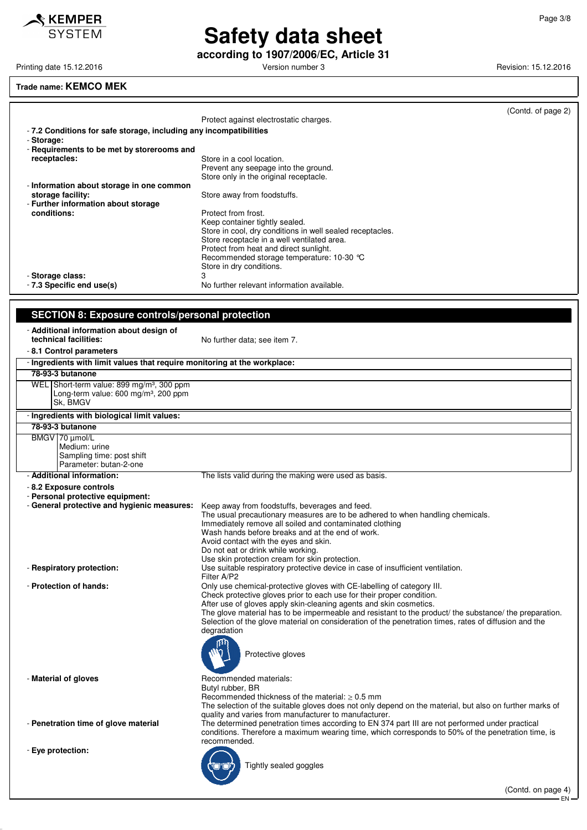

# **Safety data sheet**

**according to 1907/2006/EC, Article 31**

Printing date 15.12.2016 **Principal and American Control Control** Version number 3 Revision: 15.12.2016

#### **Trade name: KEMCO MEK**

|                                                                   | Protect against electrostatic charges.                    | (Contd. of page 2) |
|-------------------------------------------------------------------|-----------------------------------------------------------|--------------------|
|                                                                   |                                                           |                    |
| -7.2 Conditions for safe storage, including any incompatibilities |                                                           |                    |
| - Storage:                                                        |                                                           |                    |
| - Requirements to be met by storerooms and                        |                                                           |                    |
| receptacles:                                                      | Store in a cool location.                                 |                    |
|                                                                   | Prevent any seepage into the ground.                      |                    |
|                                                                   | Store only in the original receptacle.                    |                    |
| - Information about storage in one common                         |                                                           |                    |
| storage facility:                                                 | Store away from foodstuffs.                               |                    |
| - Further information about storage                               |                                                           |                    |
| conditions:                                                       | Protect from frost.                                       |                    |
|                                                                   | Keep container tightly sealed.                            |                    |
|                                                                   | Store in cool, dry conditions in well sealed receptacles. |                    |
|                                                                   | Store receptacle in a well ventilated area.               |                    |
|                                                                   | Protect from heat and direct sunlight.                    |                    |
|                                                                   | Recommended storage temperature: 10-30 °C                 |                    |
|                                                                   | Store in dry conditions.                                  |                    |
| - Storage class:                                                  | 3                                                         |                    |
| - 7.3 Specific end use(s)                                         | No further relevant information available.                |                    |
|                                                                   |                                                           |                    |
|                                                                   |                                                           |                    |
|                                                                   |                                                           |                    |

### **SECTION 8: Exposure controls/personal protection** - **Additional information about design of** No further data; see item 7.

- **8.1 Control parameters**

| - Ingredients with limit values that require monitoring at the workplace:                                             |                                                                                                                                                                                                                                                                                                                                                                                                                                                                              |
|-----------------------------------------------------------------------------------------------------------------------|------------------------------------------------------------------------------------------------------------------------------------------------------------------------------------------------------------------------------------------------------------------------------------------------------------------------------------------------------------------------------------------------------------------------------------------------------------------------------|
| 78-93-3 butanone                                                                                                      |                                                                                                                                                                                                                                                                                                                                                                                                                                                                              |
| WEL Short-term value: 899 mg/m <sup>3</sup> , 300 ppm<br>Long-term value: 600 mg/m <sup>3</sup> , 200 ppm<br>Sk, BMGV |                                                                                                                                                                                                                                                                                                                                                                                                                                                                              |
| - Ingredients with biological limit values:                                                                           |                                                                                                                                                                                                                                                                                                                                                                                                                                                                              |
| 78-93-3 butanone                                                                                                      |                                                                                                                                                                                                                                                                                                                                                                                                                                                                              |
| BMGV   70 µmol/L<br>Medium: urine<br>Sampling time: post shift<br>Parameter: butan-2-one                              |                                                                                                                                                                                                                                                                                                                                                                                                                                                                              |
| - Additional information:                                                                                             | The lists valid during the making were used as basis.                                                                                                                                                                                                                                                                                                                                                                                                                        |
| - 8.2 Exposure controls<br>- Personal protective equipment:                                                           |                                                                                                                                                                                                                                                                                                                                                                                                                                                                              |
| - General protective and hygienic measures:                                                                           | Keep away from foodstuffs, beverages and feed.<br>The usual precautionary measures are to be adhered to when handling chemicals.<br>Immediately remove all soiled and contaminated clothing<br>Wash hands before breaks and at the end of work.<br>Avoid contact with the eyes and skin.<br>Do not eat or drink while working.<br>Use skin protection cream for skin protection.                                                                                             |
| - Respiratory protection:                                                                                             | Use suitable respiratory protective device in case of insufficient ventilation.<br>Filter A/P2                                                                                                                                                                                                                                                                                                                                                                               |
| - Protection of hands:                                                                                                | Only use chemical-protective gloves with CE-labelling of category III.<br>Check protective gloves prior to each use for their proper condition.<br>After use of gloves apply skin-cleaning agents and skin cosmetics.<br>The glove material has to be impermeable and resistant to the product/ the substance/ the preparation.<br>Selection of the glove material on consideration of the penetration times, rates of diffusion and the<br>degradation<br>Protective gloves |
| - Material of gloves                                                                                                  | Recommended materials:<br>Butyl rubber, BR<br>Recommended thickness of the material: $> 0.5$ mm<br>The selection of the suitable gloves does not only depend on the material, but also on further marks of<br>quality and varies from manufacturer to manufacturer.                                                                                                                                                                                                          |
| - Penetration time of glove material                                                                                  | The determined penetration times according to EN 374 part III are not performed under practical<br>conditions. Therefore a maximum wearing time, which corresponds to 50% of the penetration time, is<br>recommended.                                                                                                                                                                                                                                                        |
| - Eye protection:                                                                                                     | Tightly sealed goggles                                                                                                                                                                                                                                                                                                                                                                                                                                                       |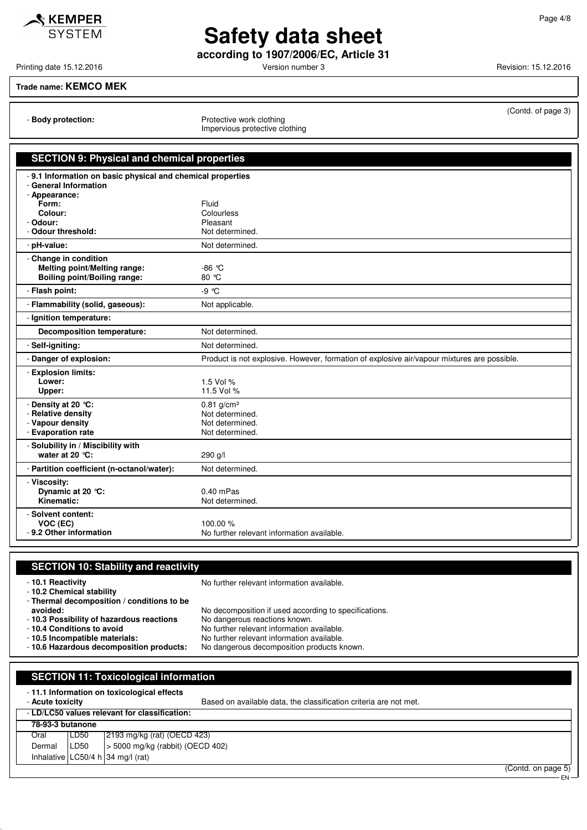**Safety data sheet according to 1907/2006/EC, Article 31**

Printing date 15.12.2016 **Principal and Contract Contract Contract Contract Contract Contract Contract Contract Contract Contract Contract Contract Contract Contract Contract Contract Contract Contract Contract Contract Co** 

### **Trade name: KEMCO MEK**

 $\mathcal S$  KEMPER **SYSTEM** 

- **Body protection:** Protective work clothing Impervious protective clothing

| (Contd. of page 3) |  |  |
|--------------------|--|--|
|--------------------|--|--|

| <b>SECTION 9: Physical and chemical properties</b>                                                                                                          |                                                                                             |  |
|-------------------------------------------------------------------------------------------------------------------------------------------------------------|---------------------------------------------------------------------------------------------|--|
| - 9.1 Information on basic physical and chemical properties<br>- General Information<br>- Appearance:<br>Form:<br>Colour:<br>- Odour:<br>- Odour threshold: | Fluid<br>Colourless<br>Pleasant<br>Not determined.                                          |  |
| - pH-value:                                                                                                                                                 | Not determined.                                                                             |  |
| - Change in condition<br><b>Melting point/Melting range:</b><br><b>Boiling point/Boiling range:</b>                                                         | $-86$ °C<br>80 °C                                                                           |  |
| - Flash point:                                                                                                                                              | $-9^{\circ}$ C                                                                              |  |
| - Flammability (solid, gaseous):                                                                                                                            | Not applicable.                                                                             |  |
| - Ignition temperature:                                                                                                                                     |                                                                                             |  |
| <b>Decomposition temperature:</b>                                                                                                                           | Not determined.                                                                             |  |
| - Self-igniting:                                                                                                                                            | Not determined.                                                                             |  |
| - Danger of explosion:                                                                                                                                      | Product is not explosive. However, formation of explosive air/vapour mixtures are possible. |  |
| - Explosion limits:<br>Lower:<br>Upper:                                                                                                                     | 1.5 Vol %<br>11.5 Vol %                                                                     |  |
| - Density at 20 °C:<br>- Relative density<br>- Vapour density<br>- Evaporation rate                                                                         | $0.81$ g/cm <sup>3</sup><br>Not determined.<br>Not determined.<br>Not determined.           |  |
| - Solubility in / Miscibility with<br>water at 20 °C:                                                                                                       | 290 g/l                                                                                     |  |
| - Partition coefficient (n-octanol/water):                                                                                                                  | Not determined.                                                                             |  |
| - Viscosity:<br>Dynamic at 20 °C:<br>Kinematic:                                                                                                             | $0.40$ mPas<br>Not determined.                                                              |  |
| - Solvent content:<br>VOC (EC)<br>-9.2 Other information                                                                                                    | 100.00 %<br>No further relevant information available.                                      |  |

### **SECTION 10: Stability and reactivity**

- **10.1 Reactivity 10.1 Reactivity 10.1 Reactivity** 

- **10.2 Chemical stability**

- **Thermal decomposition / conditions to be**

- **10.3 Possibility of hazardous reactions**<br>- 10.4 Conditions to avoid

- **avoided:** No decomposition if used according to specifications.<br>**10.3 Possibility of hazardous reactions** No dangerous reactions known.
	-
	-
	-
- 
- **10.4 Conditions to avoid** No further relevant information available.<br>- **10.5 Incompatible materials:** No further relevant information available.
- **10.5 Incompatible materials:** No further relevant information available. No dangerous decomposition products known.

| <b>SECTION 11: Toxicological information</b>                                                                                        |                  |                                          |  |
|-------------------------------------------------------------------------------------------------------------------------------------|------------------|------------------------------------------|--|
| -11.1 Information on toxicological effects<br>Based on available data, the classification criteria are not met.<br>- Acute toxicity |                  |                                          |  |
| - LD/LC50 values relevant for classification:                                                                                       |                  |                                          |  |
| 78-93-3 butanone                                                                                                                    |                  |                                          |  |
| Oral                                                                                                                                | LD50             | 2193 mg/kg (rat) (OECD 423)              |  |
| Dermal                                                                                                                              | LD <sub>50</sub> | $\vert$ > 5000 mg/kg (rabbit) (OECD 402) |  |
|                                                                                                                                     |                  | Inhalative LC50/4 h 34 mg/l (rat)        |  |

EN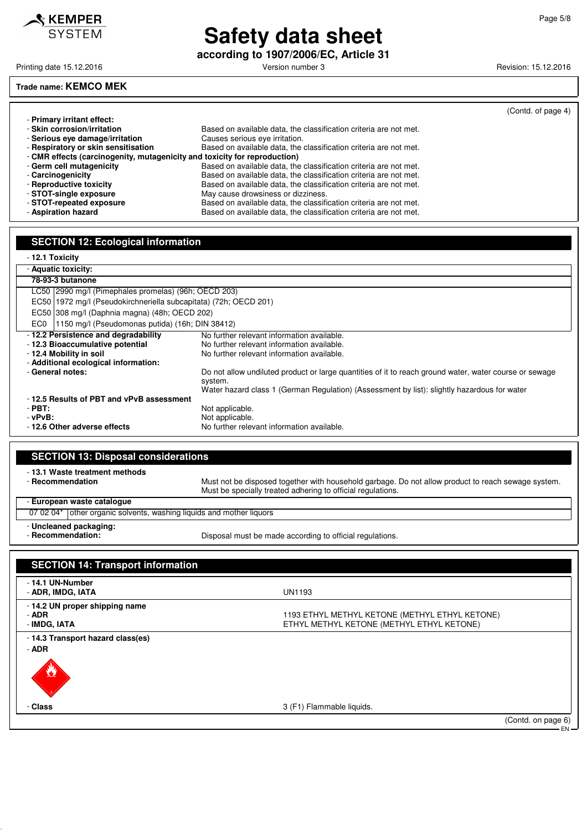KEMPER **SYSTEM** 

## **Safety data sheet**

**according to 1907/2006/EC, Article 31**

Printing date 15.12.2016 **Principal and American Control Control** Version number 3 Revision: 15.12.2016

### **Trade name: KEMCO MEK**

|                                                                           |                                                                   | (Contd. of page 4) |  |
|---------------------------------------------------------------------------|-------------------------------------------------------------------|--------------------|--|
| - Primary irritant effect:                                                |                                                                   |                    |  |
| - Skin corrosion/irritation                                               | Based on available data, the classification criteria are not met. |                    |  |
| - Serious eve damage/irritation                                           | Causes serious eye irritation.                                    |                    |  |
| - Respiratory or skin sensitisation                                       | Based on available data, the classification criteria are not met. |                    |  |
| - CMR effects (carcinogenity, mutagenicity and toxicity for reproduction) |                                                                   |                    |  |
| - Germ cell mutagenicity                                                  | Based on available data, the classification criteria are not met. |                    |  |
| - Carcinogenicity                                                         | Based on available data, the classification criteria are not met. |                    |  |
| - Reproductive toxicity                                                   | Based on available data, the classification criteria are not met. |                    |  |
| - STOT-single exposure                                                    | May cause drowsiness or dizziness.                                |                    |  |
| - STOT-repeated exposure                                                  | Based on available data, the classification criteria are not met. |                    |  |
| - Aspiration hazard                                                       | Based on available data, the classification criteria are not met. |                    |  |

### **SECTION 12: Ecological information**

#### - **12.1 Toxicity**

| --- - - - - - - -                                                  |                                                                                                        |  |
|--------------------------------------------------------------------|--------------------------------------------------------------------------------------------------------|--|
| - Aquatic toxicity:                                                |                                                                                                        |  |
| 78-93-3 butanone                                                   |                                                                                                        |  |
| LC50   2990 mg/l (Pimephales promelas) (96h; OECD 203)             |                                                                                                        |  |
| EC50 1972 mg/l (Pseudokirchneriella subcapitata) (72h; OECD 201)   |                                                                                                        |  |
|                                                                    | EC50 308 mg/l (Daphnia magna) (48h; OECD 202)                                                          |  |
| 1150 mg/l (Pseudomonas putida) (16h; DIN 38412)<br>EC <sub>0</sub> |                                                                                                        |  |
| -12.2 Persistence and degradability                                | No further relevant information available.                                                             |  |
| -12.3 Bioaccumulative potential                                    | No further relevant information available.                                                             |  |
| - 12.4 Mobility in soil                                            | No further relevant information available.                                                             |  |
| - Additional ecological information:                               |                                                                                                        |  |
| - General notes:                                                   | Do not allow undiluted product or large quantities of it to reach ground water, water course or sewage |  |
|                                                                    | system.                                                                                                |  |
|                                                                    | Water hazard class 1 (German Regulation) (Assessment by list): slightly hazardous for water            |  |
| -12.5 Results of PBT and vPvB assessment                           |                                                                                                        |  |
| - PBT:                                                             | Not applicable.                                                                                        |  |
| $-vPvB$ :                                                          | Not applicable.                                                                                        |  |
| -12.6 Other adverse effects                                        | No further relevant information available.                                                             |  |

| <b>SECTION 13: Disposal considerations</b>                           |                                                                                                                                                                   |
|----------------------------------------------------------------------|-------------------------------------------------------------------------------------------------------------------------------------------------------------------|
| -13.1 Waste treatment methods<br>- Recommendation                    | Must not be disposed together with household garbage. Do not allow product to reach sewage system.<br>Must be specially treated adhering to official regulations. |
| - European waste cataloque                                           |                                                                                                                                                                   |
| 07 02 04* other organic solvents, washing liquids and mother liquors |                                                                                                                                                                   |
| - Uncleaned packaging:<br>- Recommendation:                          | Disposal must be made according to official regulations.                                                                                                          |

| <b>SECTION 14: Transport information</b>                |                                                                                             |                              |
|---------------------------------------------------------|---------------------------------------------------------------------------------------------|------------------------------|
| - 14.1 UN-Number<br>- ADR, IMDG, IATA                   | <b>UN1193</b>                                                                               |                              |
| - 14.2 UN proper shipping name<br>- ADR<br>- IMDG, IATA | 1193 ETHYL METHYL KETONE (METHYL ETHYL KETONE)<br>ETHYL METHYL KETONE (METHYL ETHYL KETONE) |                              |
| - 14.3 Transport hazard class(es)<br>- ADR<br><u>V</u>  |                                                                                             |                              |
| - Class                                                 | 3 (F1) Flammable liquids.                                                                   |                              |
|                                                         |                                                                                             | (Contd. on page 6)<br>$EN$ — |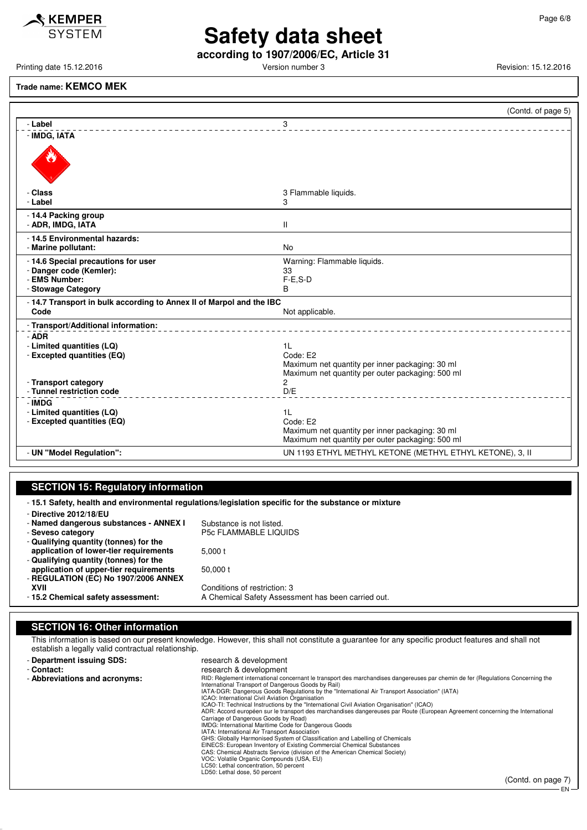### $\mathcal$ **KEMPER** SYSTEM

# **Safety data sheet**

**according to 1907/2006/EC, Article 31**

Printing date 15.12.2016 **Principal and Contract Contract Contract Contract Contract Contract Contract Contract Contract Contract Contract Contract Contract Contract Contract Contract Contract Contract Contract Contract Co** 

#### **Trade name: KEMCO MEK**

|                                                                      | (Contd. of page 5)                                                                                  |
|----------------------------------------------------------------------|-----------------------------------------------------------------------------------------------------|
| - Label                                                              | 3                                                                                                   |
| - IMDG, IATA                                                         |                                                                                                     |
|                                                                      |                                                                                                     |
| - Class                                                              | 3 Flammable liquids.                                                                                |
| - Label                                                              | 3                                                                                                   |
| - 14.4 Packing group                                                 |                                                                                                     |
| - ADR, IMDG, IATA                                                    | $\mathbf{II}$                                                                                       |
| - 14.5 Environmental hazards:                                        |                                                                                                     |
| - Marine pollutant:                                                  | <b>No</b>                                                                                           |
| - 14.6 Special precautions for user                                  | Warning: Flammable liquids.                                                                         |
| - Danger code (Kemler):                                              | 33                                                                                                  |
| - EMS Number:                                                        | $F-E.S-D$                                                                                           |
| - Stowage Category                                                   | B                                                                                                   |
| - 14.7 Transport in bulk according to Annex II of Marpol and the IBC |                                                                                                     |
| Code                                                                 | Not applicable.                                                                                     |
| - Transport/Additional information:                                  |                                                                                                     |
| $-$ ADR                                                              |                                                                                                     |
| - Limited quantities (LQ)                                            | 1 <sup>L</sup>                                                                                      |
| - Excepted quantities (EQ)                                           | Code: E2                                                                                            |
|                                                                      | Maximum net quantity per inner packaging: 30 ml                                                     |
|                                                                      | Maximum net quantity per outer packaging: 500 ml                                                    |
| - Transport category                                                 | 2                                                                                                   |
| - Tunnel restriction code                                            | D/E                                                                                                 |
| - IMDG                                                               |                                                                                                     |
| - Limited quantities (LQ)                                            | 1 <sup>L</sup>                                                                                      |
| - Excepted quantities (EQ)                                           | Code: E2                                                                                            |
|                                                                      | Maximum net quantity per inner packaging: 30 ml<br>Maximum net quantity per outer packaging: 500 ml |
|                                                                      |                                                                                                     |
| - UN "Model Regulation":                                             | UN 1193 ETHYL METHYL KETONE (METHYL ETHYL KETONE), 3, II                                            |

### **SECTION 15: Regulatory information**

- **15.1 Safety, health and environmental regulations/legislation specific for the substance or mixture**

- **Directive 2012/18/EU**
- **Named dangerous substances ANNEX I** Substance is not listed.<br>- Seveso category **P5c FLAMMABLE LIQU**
- 
- **Qualifying quantity (tonnes) for the application of lower-tier requirements** 5,000 t - **Qualifying quantity (tonnes) for the application of upper-tier requirements** 50,000 t - **REGULATION (EC) No 1907/2006 ANNEX**

P5c FLAMMABLE LIQUIDS

**XVII** Conditions of restriction: 3<br>**2 Chemical safety assessment:** A Chemical Safety Assess A Chemical Safety Assessment has been carried out.

### **SECTION 16: Other information**

This information is based on our present knowledge. However, this shall not constitute a guarantee for any specific product features and shall not establish a legally valid contractual relationship.

| - Department issuing SDS:     | research & development                                                                                                                                                                                                                                                                                                                                               |
|-------------------------------|----------------------------------------------------------------------------------------------------------------------------------------------------------------------------------------------------------------------------------------------------------------------------------------------------------------------------------------------------------------------|
| - Contact:                    | research & development                                                                                                                                                                                                                                                                                                                                               |
| - Abbreviations and acronyms: | RID: Règlement international concernant le transport des marchandises dangereuses par chemin de fer (Regulations Concerning the<br>International Transport of Dangerous Goods by Rail)                                                                                                                                                                               |
|                               | IATA-DGR: Dangerous Goods Regulations by the "International Air Transport Association" (IATA)                                                                                                                                                                                                                                                                        |
|                               | ICAO: International Civil Aviation Organisation                                                                                                                                                                                                                                                                                                                      |
|                               | ICAO-TI: Technical Instructions by the "International Civil Aviation Organisation" (ICAO)                                                                                                                                                                                                                                                                            |
|                               | ADR: Accord européen sur le transport des marchandises dangereuses par Route (European Agreement concerning the International                                                                                                                                                                                                                                        |
|                               | Carriage of Dangerous Goods by Road)                                                                                                                                                                                                                                                                                                                                 |
|                               | IMDG: International Maritime Code for Dangerous Goods                                                                                                                                                                                                                                                                                                                |
|                               | IATA: International Air Transport Association                                                                                                                                                                                                                                                                                                                        |
|                               | GHS: Globally Harmonised System of Classification and Labelling of Chemicals                                                                                                                                                                                                                                                                                         |
|                               | EINECS: European Inventory of Existing Commercial Chemical Substances                                                                                                                                                                                                                                                                                                |
|                               | CAS: Chemical Abstracts Service (division of the American Chemical Society)                                                                                                                                                                                                                                                                                          |
|                               | VOC: Volatile Organic Compounds (USA, EU)                                                                                                                                                                                                                                                                                                                            |
|                               | LC50: Lethal concentration, 50 percent                                                                                                                                                                                                                                                                                                                               |
|                               | LD50: Lethal dose, 50 percent                                                                                                                                                                                                                                                                                                                                        |
|                               | $\int$ $\int$ $\int$ $\frac{1}{2}$ $\int$ $\frac{1}{2}$ $\int$ $\frac{1}{2}$ $\int$ $\frac{1}{2}$ $\int$ $\frac{1}{2}$ $\int$ $\frac{1}{2}$ $\int$ $\frac{1}{2}$ $\int$ $\frac{1}{2}$ $\int$ $\frac{1}{2}$ $\int$ $\frac{1}{2}$ $\int$ $\frac{1}{2}$ $\int$ $\frac{1}{2}$ $\int$ $\frac{1}{2}$ $\int$ $\frac{1}{2}$ $\int$ $\frac{1}{2}$ $\int$ $\frac{1}{2}$ $\int$ |

EN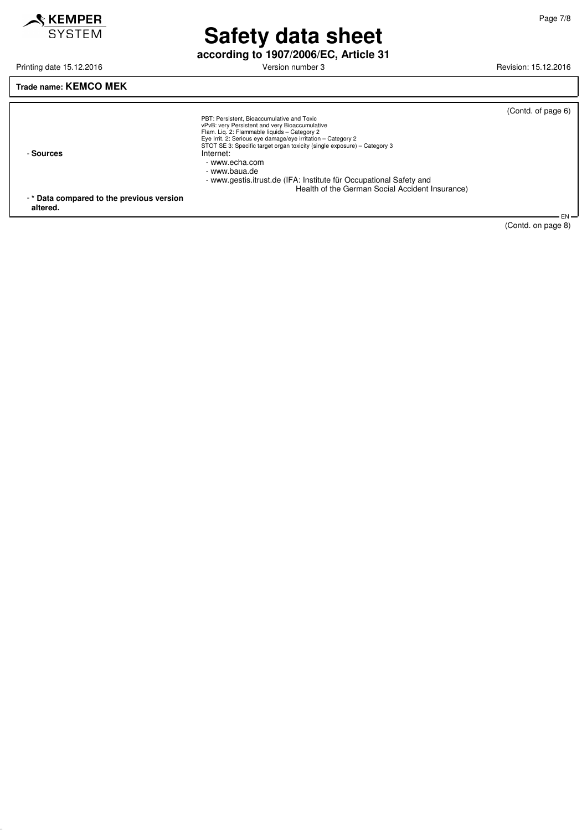

# **Safety data sheet**

**according to 1907/2006/EC, Article 31**

Printing date 15.12.2016 **Principal and American Control Control** Version number 3 Revision: 15.12.2016

### **Trade name: KEMCO MEK**

| - Sources                                | PBT: Persistent. Bioaccumulative and Toxic<br>vPvB: very Persistent and very Bioaccumulative<br>Flam. Lig. 2: Flammable liquids - Category 2<br>Eye Irrit. 2: Serious eye damage/eye irritation - Category 2<br>STOT SE 3: Specific target organ toxicity (single exposure) – Category 3<br>Internet:<br>- www.echa.com | (Contd. of page 6) |
|------------------------------------------|-------------------------------------------------------------------------------------------------------------------------------------------------------------------------------------------------------------------------------------------------------------------------------------------------------------------------|--------------------|
| -* Data compared to the previous version | - www.baua.de<br>- www.gestis.itrust.de (IFA: Institute für Occupational Safety and<br>Health of the German Social Accident Insurance)                                                                                                                                                                                  |                    |
| altered.                                 |                                                                                                                                                                                                                                                                                                                         | <b>ENL</b>         |

EN (Contd. on page 8)